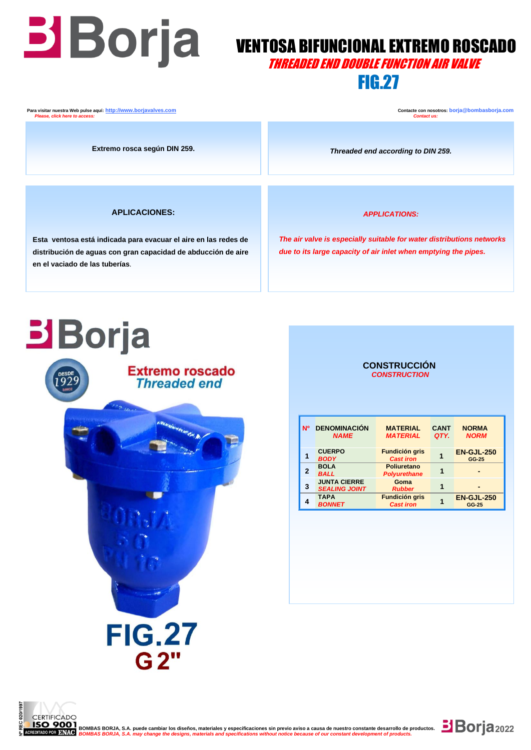## **VENTOSA BIFUNCIONAL EXTREMO ROSCADO** THREADED END DOUBLE FUNCTION AIR VALVE

## FIG.27

**Para visitar nuestra Web pulse aquí: http://www.borjavalves.com Contacte con nosotros: borja** @bombasborja.com **Contacte con nosotros: borja** @bombasborja.com  *Please, click here to access: Contact us:*

**Extremo rosca según DIN 259.**

*Threaded end according to DIN 259.*

### **APLICACIONES:**

 **en el vaciado de las tuberías**. **Esta ventosa está indicada para evacuar el aire en las redes de distribución de aguas con gran capacidad de abducción de aire**  *APPLICATIONS:*

 *The air valve is especially suitable for water distributions networks due to its large capacity of air inlet when emptying the pipes.*

# **Borja**



### **CONSTRUCCIÓN**  *CONSTRUCTION*

| <b>N°</b> | <b>DENOMINACIÓN</b><br><b>NAME</b>          | <b>MATERIAL</b><br><b>MATERIAL</b>        | <b>CANT</b><br>QTY. | <b>NORMA</b><br><b>NORM</b> |
|-----------|---------------------------------------------|-------------------------------------------|---------------------|-----------------------------|
|           | <b>CUERPO</b><br><b>BODY</b>                | <b>Fundición gris</b><br><b>Cast iron</b> |                     | <b>EN-GJL-250</b><br>GG-25  |
| 2         | <b>BOLA</b><br><b>BALL</b>                  | Poliuretano<br><b>Polyurethane</b>        |                     |                             |
| 3         | <b>JUNTA CIERRE</b><br><b>SEALING JOINT</b> | Goma<br><b>Rubber</b>                     |                     |                             |
|           | <b>TAPA</b><br><b>BONNET</b>                | <b>Fundición gris</b><br><b>Cast iron</b> |                     | <b>EN-GJL-250</b><br>GG-25  |